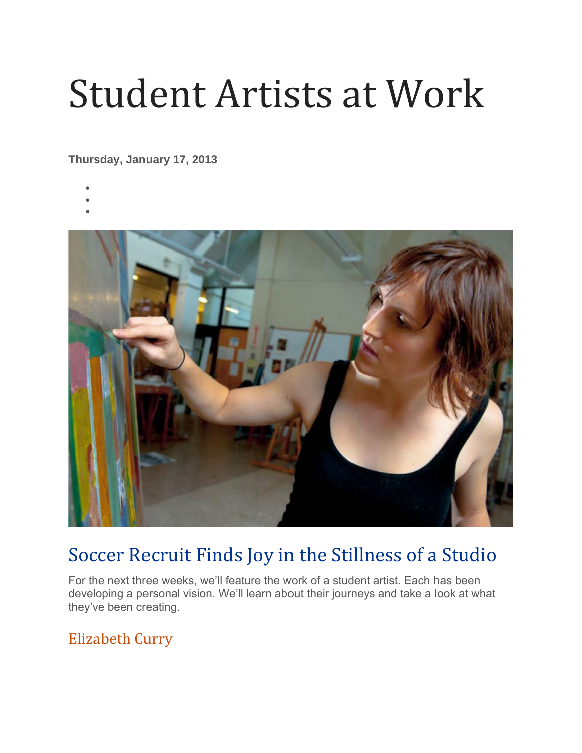# Student Artists at Work

### **Thursday, January 17, 2013**

- •
- •



## Soccer Recruit Finds Joy in the Stillness of a Studio

For the next three weeks, we'll feature the work of a student artist. Each has been developing a personal vision. We'll learn about their journeys and take a look at what they've been creating.

## Elizabeth Curry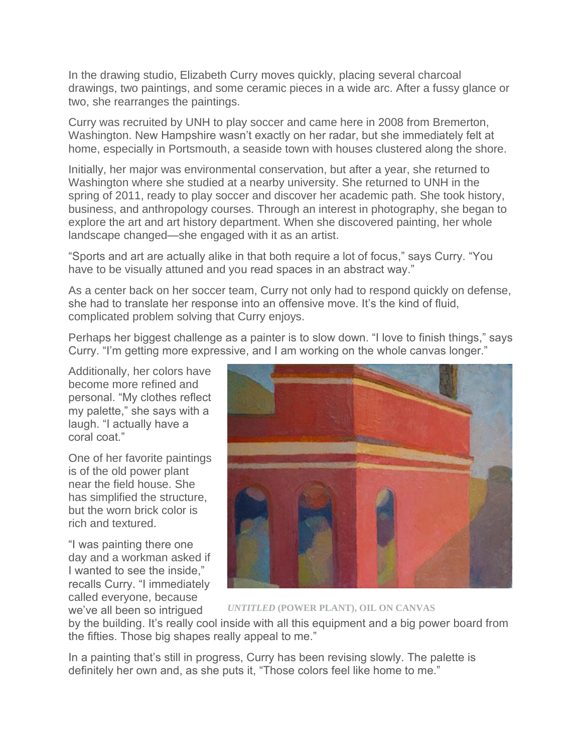In the drawing studio, Elizabeth Curry moves quickly, placing several charcoal drawings, two paintings, and some ceramic pieces in a wide arc. After a fussy glance or two, she rearranges the paintings.

Curry was recruited by UNH to play soccer and came here in 2008 from Bremerton, Washington. New Hampshire wasn't exactly on her radar, but she immediately felt at home, especially in Portsmouth, a seaside town with houses clustered along the shore.

Initially, her major was environmental conservation, but after a year, she returned to Washington where she studied at a nearby university. She returned to UNH in the spring of 2011, ready to play soccer and discover her academic path. She took history, business, and anthropology courses. Through an interest in photography, she began to explore the art and art history department. When she discovered painting, her whole landscape changed—she engaged with it as an artist.

"Sports and art are actually alike in that both require a lot of focus," says Curry. "You have to be visually attuned and you read spaces in an abstract way."

As a center back on her soccer team, Curry not only had to respond quickly on defense, she had to translate her response into an offensive move. It's the kind of fluid, complicated problem solving that Curry enjoys.

Perhaps her biggest challenge as a painter is to slow down. "I love to finish things," says Curry. "I'm getting more expressive, and I am working on the whole canvas longer."

Additionally, her colors have become more refined and personal. "My clothes reflect my palette," she says with a laugh. "I actually have a coral coat."

One of her favorite paintings is of the old power plant near the field house. She has simplified the structure, but the worn brick color is rich and textured.

"I was painting there one day and a workman asked if I wanted to see the inside," recalls Curry. "I immediately called everyone, because we've all been so intrigued



*UNTITLED* **(POWER PLANT), OIL ON CANVAS**

by the building. It's really cool inside with all this equipment and a big power board from the fifties. Those big shapes really appeal to me."

In a painting that's still in progress, Curry has been revising slowly. The palette is definitely her own and, as she puts it, "Those colors feel like home to me."